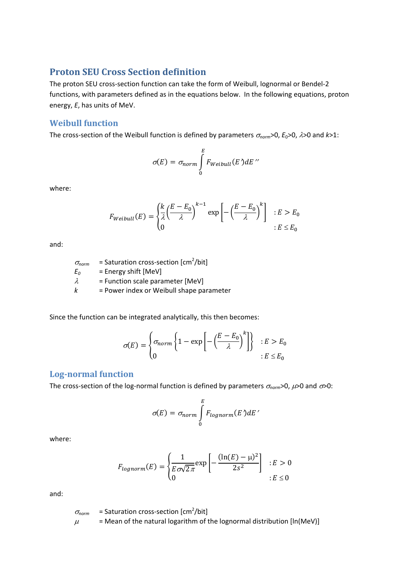# **Proton SEU Cross Section definition**

The proton SEU cross-section function can take the form of Weibull, lognormal or Bendel-2 functions, with parameters defined as in the equations below. In the following equations, proton energy, *E*, has units of MeV.

#### **Weibull function**

The cross-section of the Weibull function is defined by parameters  $\sigma_{norm}$  >0,  $E_0$  >0,  $\lambda$  >0 and *k*>1:

$$
\sigma(E) = \sigma_{norm} \int_{0}^{E} F_{Weibull}(E') dE''
$$

where:

$$
F_{Weibull}(E) = \begin{cases} \frac{k}{\lambda} \left(\frac{E - E_0}{\lambda}\right)^{k-1} \exp\left[-\left(\frac{E - E_0}{\lambda}\right)^k\right] & : E > E_0 \\ 0 & : E \le E_0 \end{cases}
$$

and:

| $\sigma_{norm}$ | = Saturation cross-section [cm <sup>2</sup> /bit] |
|-----------------|---------------------------------------------------|
| $E_0$           | = Energy shift [MeV]                              |
| $\lambda$       | = Function scale parameter [MeV]                  |
| $k$             | = Power index or Weibull shape parameter          |

Since the function can be integrated analytically, this then becomes:

$$
\sigma(E) = \begin{cases} \sigma_{norm} \left\{ 1 - \exp\left[ -\left(\frac{E - E_0}{\lambda}\right)^k \right] \right\} & : E > E_0 \\ 0 & : E \le E_0 \end{cases}
$$

### **Log‐normal function**

The cross-section of the log-normal function is defined by parameters  $\sigma_{norm}$  >0,  $\mu$  >0 and  $\sigma$  >0:

$$
\sigma(E) = \sigma_{norm} \int_{0}^{E} F_{lognorm}(E) dE'
$$

where:

$$
F_{lognorm}(E) = \begin{cases} \frac{1}{E\sigma\sqrt{2\pi}} \exp\left[-\frac{(\ln(E) - \mu)^2}{2s^2}\right] & : E > 0\\ 0 & : E \le 0 \end{cases}
$$

and:

 $\sigma_{norm}$  = Saturation cross-section [cm<sup>2</sup>/bit]  $\mu$  = Mean of the natural logarithm of the lognormal distribution [ln(MeV)]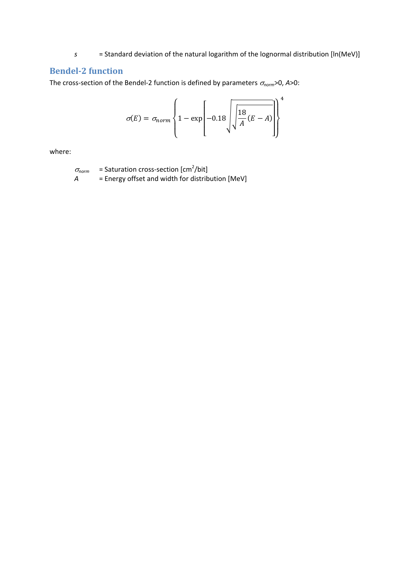= Standard deviation of the natural logarithm of the lognormal distribution [In(MeV)]  $\mathcal{S}$ 

## **Bendel-2 function**

The cross-section of the Bendel-2 function is defined by parameters  $\sigma_{norm}$  >0, A > 0:

$$
\sigma(E) = \sigma_{norm} \left\{ 1 - \exp\left[-0.18 \sqrt{\frac{18}{A} (E - A)}\right] \right\}^4
$$

where:

 $\sigma_{norm}$  = Saturation cross-section [cm<sup>2</sup>/bit] = Energy offset and width for distribution [MeV]  $A$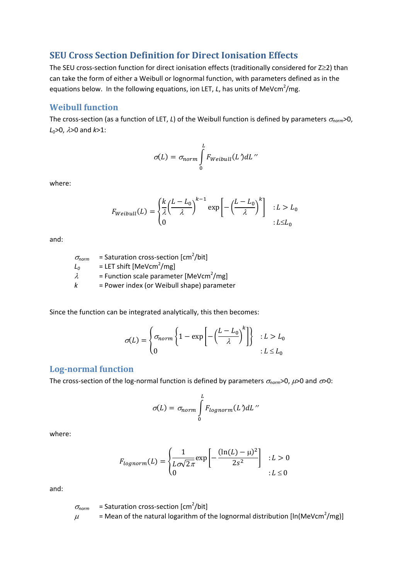### **SEU Cross Section Definition for Direct Ionisation Effects**

The SEU cross-section function for direct ionisation effects (traditionally considered for Z≥2) than can take the form of either a Weibull or lognormal function, with parameters defined as in the equations below. In the following equations, ion LET, L, has units of MeVcm<sup>2</sup>/mg.

### **Weibull function**

The cross-section (as a function of LET, *L*) of the Weibull function is defined by parameters  $\sigma_{norm}$  >0, *L*<sub>0</sub>>0,  $λ$ >0 and  $k$ >1:

$$
\sigma(L) = \sigma_{norm} \int_{0}^{L} F_{Weibull}(L')dL''
$$

where:

$$
F_{Weibull}(L) = \begin{cases} \frac{k}{\lambda} \left(\frac{L - L_0}{\lambda}\right)^{k - 1} \exp\left[-\left(\frac{L - L_0}{\lambda}\right)^k\right] & \colon L > L_0\\ 0 & \colon L \le L_0 \end{cases}
$$

and:

 $\sigma_{norm}$  = Saturation cross-section [cm<sup>2</sup>/bit]  $L_0$  = LET shift [MeVcm<sup>2</sup>/mg]  $\lambda$  = Function scale parameter [MeVcm<sup>2</sup>/mg]  $k =$  Power index (or Weibull shape) parameter

Since the function can be integrated analytically, this then becomes:

$$
\sigma(L) = \begin{cases} \sigma_{norm} \left\{ 1 - \exp\left[ -\left(\frac{L - L_0}{\lambda}\right)^k \right] \right\} & : L > L_0 \\ 0 & : L \le L_0 \end{cases}
$$

#### **Log‐normal function**

The cross-section of the log-normal function is defined by parameters  $\sigma_{norm}$  >0,  $\mu$  >0 and  $\sigma$  >0:

$$
\sigma(L) = \sigma_{norm} \int_{0}^{L} F_{lognorm}(L') dL''
$$

where:

$$
F_{lognorm}(L) = \begin{cases} \frac{1}{L\sigma\sqrt{2\pi}} \exp\left[-\frac{(\ln(L) - \mu)^2}{2s^2}\right] & \text{: } L > 0\\ 0 & \text{: } L \le 0 \end{cases}
$$

and:

$$
\sigma_{norm} = \text{Saturation cross-section [cm}^2/\text{bit}]
$$
\n
$$
\mu = \text{Mean of the natural logarithm of the lognormal distribution [In(MeVcm}^2/mg)]
$$